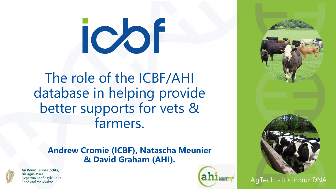# icor

The role of the ICBF/AHI database in helping provide better supports for vets & farmers.

#### **Andrew Cromie (ICBF), Natascha Meunier & David Graham (AHI).**



An Roinn Talmhaíochta, Bia agus Mara Department of Agriculture, Food and the Marine





AgTech - it's in our DNA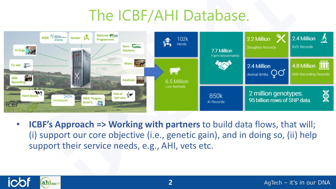# The ICBF/AHI Database.



• **ICBF's Approach => Working with partners** to build data flows, that will; (i) support our core objective (i.e., genetic gain), and in doing so, (ii) help support their service needs, e.g., AHI, vets etc.

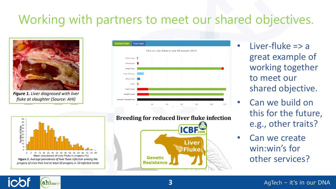## Working with partners to meet our shared objectives.



Figure 1. Liver diagnosed with liver fluke at slaughter (Source: AHI)





ahimalHealth

**Breeding for reduced liver fluke infection ICBE** 

**3**



Liver-fluke  $\Rightarrow$  a great example of working together to meet our shared objective.

• Can we build on this for the future, e.g., other traits?

Can we create win:win's for other services?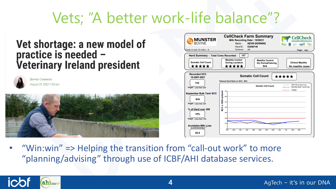## Vets; "A better work-life balance"?

#### Vet shortage: a new model of practice is needed -**Veterinary Ireland president**



**Bernie Commins** August 21, 2021 7:00 am





"Win:win"  $\Rightarrow$  Helping the transition from "call-out work" to more "planning/advising" through use of ICBF/AHI database services.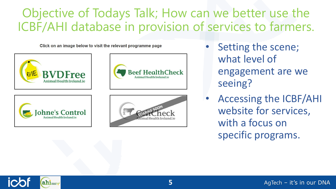### Objective of Todays Talk; How can we better use the ICBF/AHI database in provision of services to farmers.

Click on an image below to visit the relevant programme page



- **Beef Health** Check Animal Health Ireland is
- Setting the scene; what level of engagement are we seeing?
- Accessing the ICBF/AHI website for services, with a focus on specific programs.

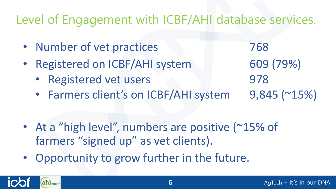## Level of Engagement with ICBF/AHI database services.

• Number of vet practices 768 • Registered on ICBF/AHI system 609 (79%) • Registered vet users 978 • Farmers client's on ICBF/AHI system 9,845 (~15%)

- At a "high level", numbers are positive (~15% of farmers "signed up" as vet clients).
- Opportunity to grow further in the future.

ahimal Health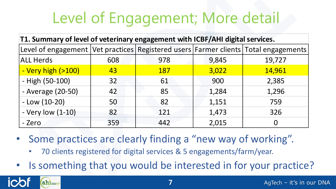# Level of Engagement; More detail

| T1. Summary of level of veterinary engagement with ICBF/AHI digital services.                                                                             |     |                                                                       |       |                |  |  |
|-----------------------------------------------------------------------------------------------------------------------------------------------------------|-----|-----------------------------------------------------------------------|-------|----------------|--|--|
| Level of engagement   Vet practices   Registered users   Farmer clients   Total engagements                                                               |     |                                                                       |       |                |  |  |
| <b>ALL Herds</b>                                                                                                                                          | 608 | 978                                                                   | 9,845 | 19,727         |  |  |
| - Very high (>100)                                                                                                                                        | 43  | <b>187</b>                                                            | 3,022 | 14,961         |  |  |
| - High (50-100)                                                                                                                                           | 32  | 61                                                                    | 900   | 2,385          |  |  |
| - Average (20-50)                                                                                                                                         | 42  | 85                                                                    | 1,284 | 1,296          |  |  |
| $-$ Low (10-20)                                                                                                                                           | 50  | 82                                                                    | 1,151 | 759            |  |  |
| - Very low (1-10)                                                                                                                                         | 82  | 121                                                                   | 1,473 | 326            |  |  |
| - Zero                                                                                                                                                    | 359 | 442                                                                   | 2,015 | $\overline{0}$ |  |  |
| Some practices are clearly finding a "new way of working".<br>$\bullet$<br>$\bullet$<br>• Is something that you would be interested in for your practice? |     | 70 clients registered for digital services & 5 engagements/farm/year. |       |                |  |  |

- Some practices are clearly finding a "new way of working".
	- 70 clients registered for digital services & 5 engagements/farm/year.
- 

ahi